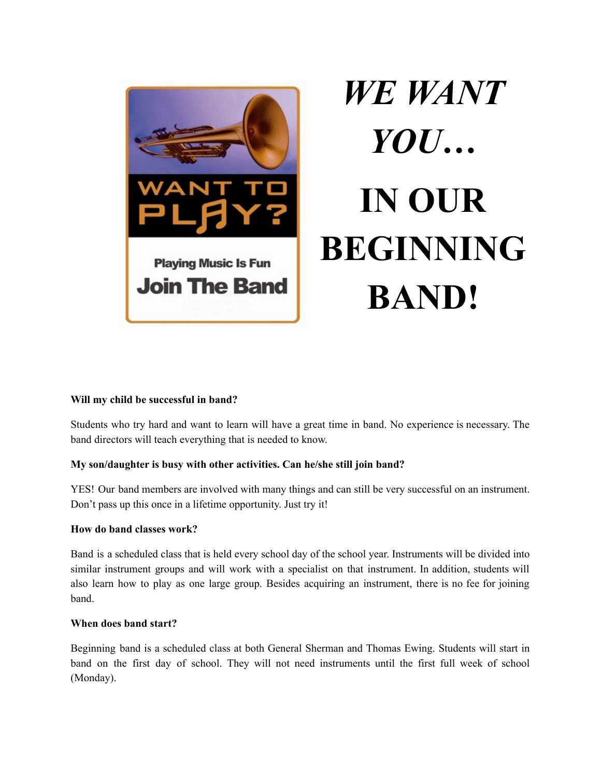

# *WE WANT YOU…* **IN OUR BEGINNING BAND!**

#### **Will my child be successful in band?**

Students who try hard and want to learn will have a great time in band. No experience is necessary. The band directors will teach everything that is needed to know.

#### **My son/daughter is busy with other activities. Can he/she still join band?**

YES! Our band members are involved with many things and can still be very successful on an instrument. Don't pass up this once in a lifetime opportunity. Just try it!

#### **How do band classes work?**

Band is a scheduled class that is held every school day of the school year. Instruments will be divided into similar instrument groups and will work with a specialist on that instrument. In addition, students will also learn how to play as one large group. Besides acquiring an instrument, there is no fee for joining band.

#### **When does band start?**

Beginning band is a scheduled class at both General Sherman and Thomas Ewing. Students will start in band on the first day of school. They will not need instruments until the first full week of school (Monday).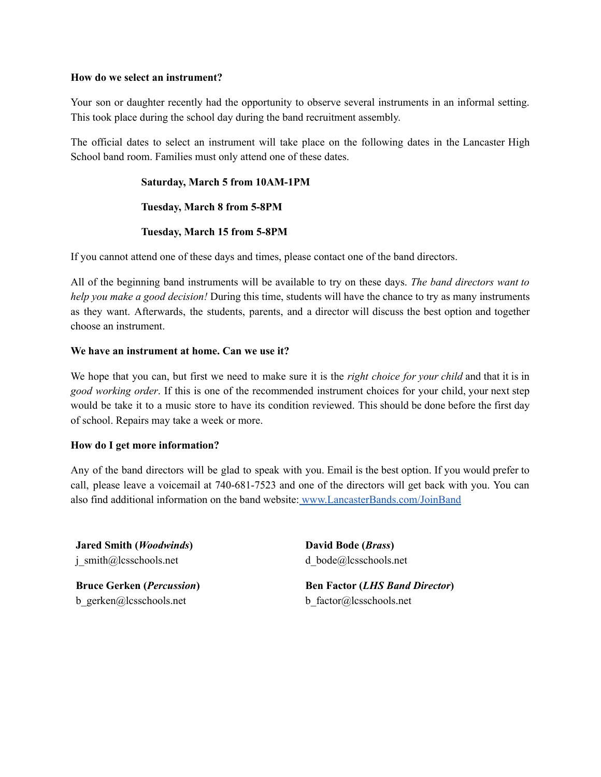#### **How do we select an instrument?**

Your son or daughter recently had the opportunity to observe several instruments in an informal setting. This took place during the school day during the band recruitment assembly.

The official dates to select an instrument will take place on the following dates in the Lancaster High School band room. Families must only attend one of these dates.

#### **Saturday, March 5 from 10AM-1PM**

#### **Tuesday, March 8 from 5-8PM**

#### **Tuesday, March 15 from 5-8PM**

If you cannot attend one of these days and times, please contact one of the band directors.

All of the beginning band instruments will be available to try on these days. *The band directors want to help you make a good decision!* During this time, students will have the chance to try as many instruments as they want. Afterwards, the students, parents, and a director will discuss the best option and together choose an instrument.

#### **We have an instrument at home. Can we use it?**

We hope that you can, but first we need to make sure it is the *right choice for your child* and that it is in *good working order*. If this is one of the recommended instrument choices for your child, your next step would be take it to a music store to have its condition reviewed. This should be done before the first day of school. Repairs may take a week or more.

#### **How do I get more information?**

Any of the band directors will be glad to speak with you. Email is the best option. If you would prefer to call, please leave a voicemail at 740-681-7523 and one of the directors will get back with you. You can also find additional information on the band website: [www.LancasterBands.com/JoinBand](http://www.lancasterbands.com/JoinBand)

**Jared Smith (***Woodwinds***)** j\_smith@lcsschools.net

**Bruce Gerken (***Percussion***)** b\_gerken@lcsschools.net

**David Bode (***Brass***)** d\_bode@lcsschools.net

**Ben Factor (***LHS Band Director***)** b\_factor@lcsschools.net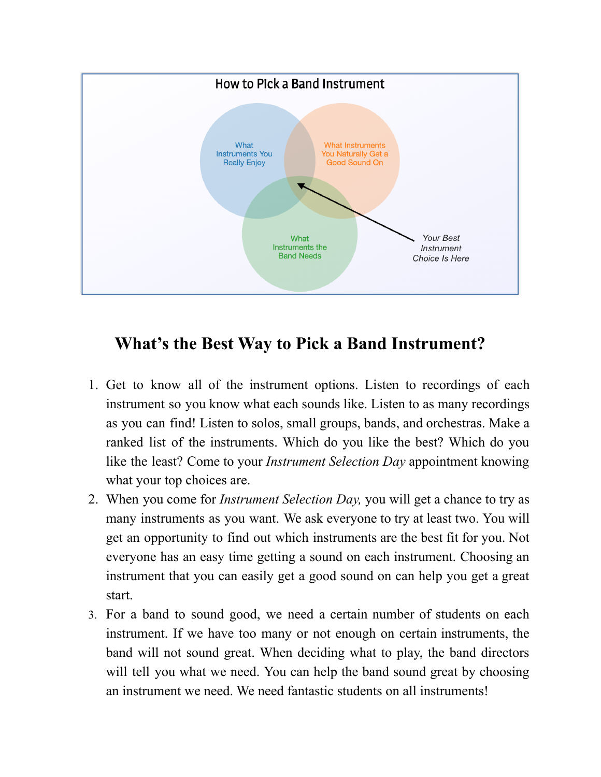

### **What's the Best Way to Pick a Band Instrument?**

- 1. Get to know all of the instrument options. Listen to recordings of each instrument so you know what each sounds like. Listen to as many recordings as you can find! Listen to solos, small groups, bands, and orchestras. Make a ranked list of the instruments. Which do you like the best? Which do you like the least? Come to your *Instrument Selection Day* appointment knowing what your top choices are.
- 2. When you come for *Instrument Selection Day,* you will get a chance to try as many instruments as you want. We ask everyone to try at least two. You will get an opportunity to find out which instruments are the best fit for you. Not everyone has an easy time getting a sound on each instrument. Choosing an instrument that you can easily get a good sound on can help you get a great start.
- 3. For a band to sound good, we need a certain number of students on each instrument. If we have too many or not enough on certain instruments, the band will not sound great. When deciding what to play, the band directors will tell you what we need. You can help the band sound great by choosing an instrument we need. We need fantastic students on all instruments!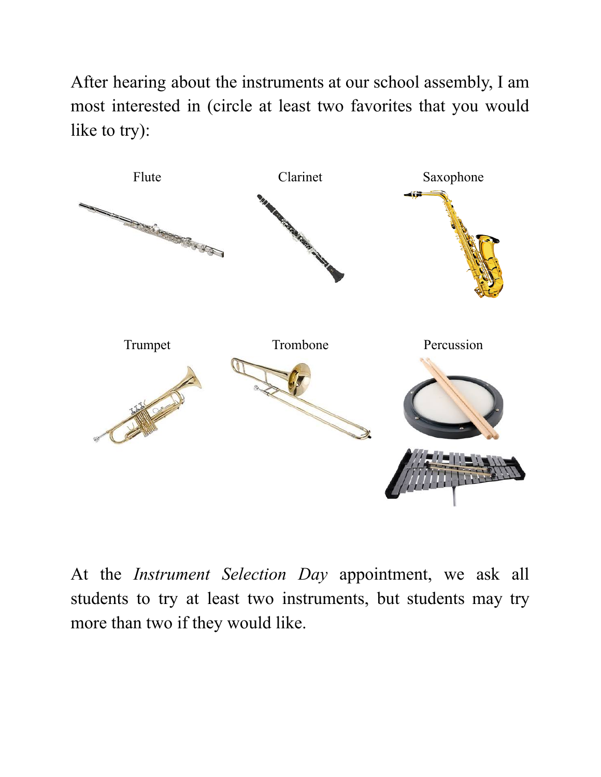After hearing about the instruments at our school assembly, I am most interested in (circle at least two favorites that you would like to try):



At the *Instrument Selection Day* appointment, we ask all students to try at least two instruments, but students may try more than two if they would like.